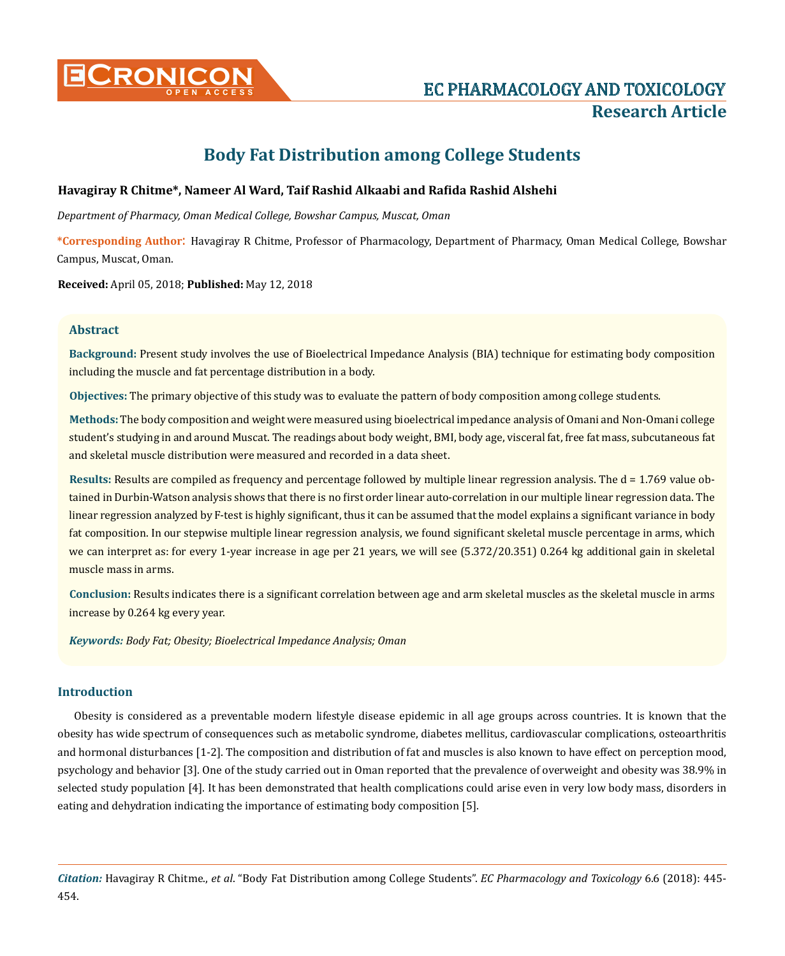

# **CRONICON EC PHARMACOLOGY AND TOXICOLOGY Research Article**

## **Body Fat Distribution among College Students**

## **Havagiray R Chitme\*, Nameer Al Ward, Taif Rashid Alkaabi and Rafida Rashid Alshehi**

*Department of Pharmacy, Oman Medical College, Bowshar Campus, Muscat, Oman*

**\*Corresponding Author**: Havagiray R Chitme, Professor of Pharmacology, Department of Pharmacy, Oman Medical College, Bowshar Campus, Muscat, Oman.

**Received:** April 05, 2018; **Published:** May 12, 2018

## **Abstract**

**Background:** Present study involves the use of Bioelectrical Impedance Analysis (BIA) technique for estimating body composition including the muscle and fat percentage distribution in a body.

**Objectives:** The primary objective of this study was to evaluate the pattern of body composition among college students.

**Methods:** The body composition and weight were measured using bioelectrical impedance analysis of Omani and Non-Omani college student's studying in and around Muscat. The readings about body weight, BMI, body age, visceral fat, free fat mass, subcutaneous fat and skeletal muscle distribution were measured and recorded in a data sheet.

**Results:** Results are compiled as frequency and percentage followed by multiple linear regression analysis. The d = 1.769 value obtained in Durbin-Watson analysis shows that there is no first order linear auto-correlation in our multiple linear regression data. The linear regression analyzed by F-test is highly significant, thus it can be assumed that the model explains a significant variance in body fat composition. In our stepwise multiple linear regression analysis, we found significant skeletal muscle percentage in arms, which we can interpret as: for every 1-year increase in age per 21 years, we will see (5.372/20.351) 0.264 kg additional gain in skeletal muscle mass in arms.

**Conclusion:** Results indicates there is a significant correlation between age and arm skeletal muscles as the skeletal muscle in arms increase by 0.264 kg every year.

*Keywords: Body Fat; Obesity; Bioelectrical Impedance Analysis; Oman*

## **Introduction**

Obesity is considered as a preventable modern lifestyle disease epidemic in all age groups across countries. It is known that the obesity has wide spectrum of consequences such as metabolic syndrome, diabetes mellitus, cardiovascular complications, osteoarthritis and hormonal disturbances [1-2]. The composition and distribution of fat and muscles is also known to have effect on perception mood, psychology and behavior [3]. One of the study carried out in Oman reported that the prevalence of overweight and obesity was 38.9% in selected study population [4]. It has been demonstrated that health complications could arise even in very low body mass, disorders in eating and dehydration indicating the importance of estimating body composition [5].

*Citation:* Havagiray R Chitme., *et al*. "Body Fat Distribution among College Students". *EC Pharmacology and Toxicology* 6.6 (2018): 445- 454.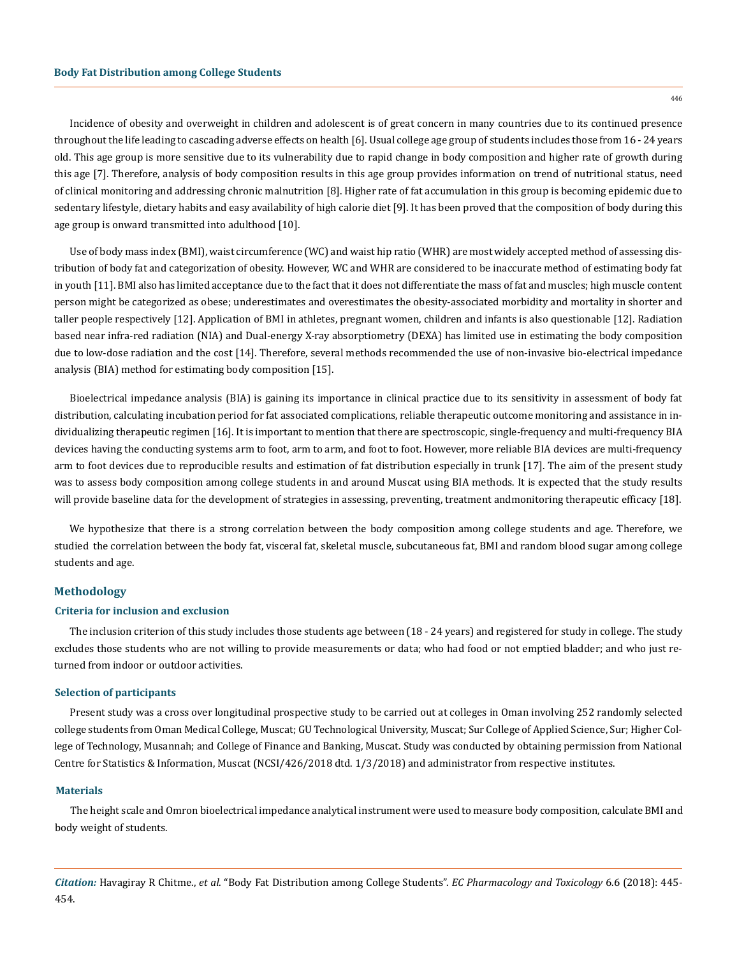446

Incidence of obesity and overweight in children and adolescent is of great concern in many countries due to its continued presence throughout the life leading to cascading adverse effects on health [6]. Usual college age group of students includes those from 16 - 24 years old. This age group is more sensitive due to its vulnerability due to rapid change in body composition and higher rate of growth during this age [7]. Therefore, analysis of body composition results in this age group provides information on trend of nutritional status, need of clinical monitoring and addressing chronic malnutrition [8]. Higher rate of fat accumulation in this group is becoming epidemic due to sedentary lifestyle, dietary habits and easy availability of high calorie diet [9]. It has been proved that the composition of body during this age group is onward transmitted into adulthood [10].

Use of body mass index (BMI), waist circumference (WC) and waist hip ratio (WHR) are most widely accepted method of assessing distribution of body fat and categorization of obesity. However, WC and WHR are considered to be inaccurate method of estimating body fat in youth [11]. BMI also has limited acceptance due to the fact that it does not differentiate the mass of fat and muscles; high muscle content person might be categorized as obese; underestimates and overestimates the obesity-associated morbidity and mortality in shorter and taller people respectively [12]. Application of BMI in athletes, pregnant women, children and infants is also questionable [12]. Radiation based near infra-red radiation (NIA) and Dual-energy X-ray absorptiometry (DEXA) has limited use in estimating the body composition due to low-dose radiation and the cost [14]. Therefore, several methods recommended the use of non-invasive bio-electrical impedance analysis (BIA) method for estimating body composition [15].

Bioelectrical impedance analysis (BIA) is gaining its importance in clinical practice due to its sensitivity in assessment of body fat distribution, calculating incubation period for fat associated complications, reliable therapeutic outcome monitoring and assistance in individualizing therapeutic regimen [16]. It is important to mention that there are spectroscopic, single-frequency and multi-frequency BIA devices having the conducting systems arm to foot, arm to arm, and foot to foot. However, more reliable BIA devices are multi-frequency arm to foot devices due to reproducible results and estimation of fat distribution especially in trunk [17]. The aim of the present study was to assess body composition among college students in and around Muscat using BIA methods. It is expected that the study results will provide baseline data for the development of strategies in assessing, preventing, treatment andmonitoring therapeutic efficacy [18].

We hypothesize that there is a strong correlation between the body composition among college students and age. Therefore, we studied the correlation between the body fat, visceral fat, skeletal muscle, subcutaneous fat, BMI and random blood sugar among college students and age.

#### **Methodology**

#### **Criteria for inclusion and exclusion**

The inclusion criterion of this study includes those students age between (18 - 24 years) and registered for study in college. The study excludes those students who are not willing to provide measurements or data; who had food or not emptied bladder; and who just returned from indoor or outdoor activities.

#### **Selection of participants**

Present study was a cross over longitudinal prospective study to be carried out at colleges in Oman involving 252 randomly selected college students from Oman Medical College, Muscat; GU Technological University, Muscat; Sur College of Applied Science, Sur; Higher College of Technology, Musannah; and College of Finance and Banking, Muscat. Study was conducted by obtaining permission from National Centre for Statistics & Information, Muscat (NCSI/426/2018 dtd. 1/3/2018) and administrator from respective institutes.

#### **Materials**

The height scale and Omron bioelectrical impedance analytical instrument were used to measure body composition, calculate BMI and body weight of students.

*Citation:* Havagiray R Chitme., *et al*. "Body Fat Distribution among College Students". *EC Pharmacology and Toxicology* 6.6 (2018): 445- 454.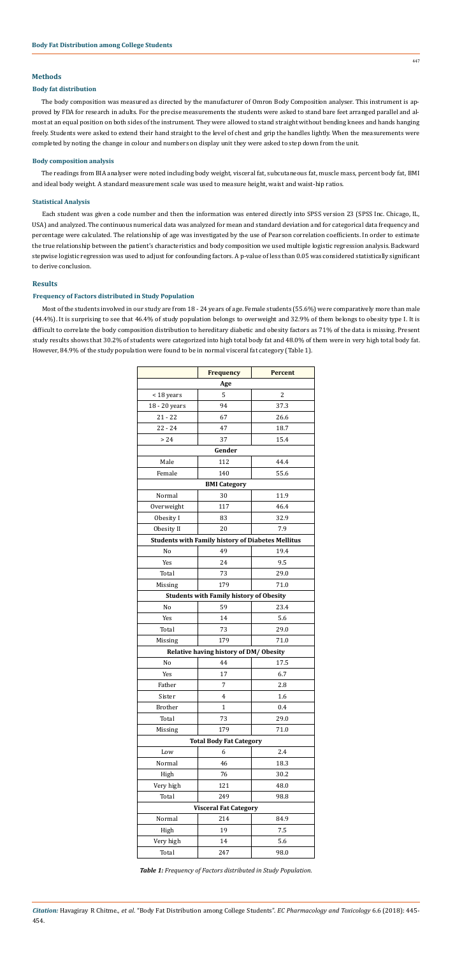*Citation:* Havagiray R Chitme., *et al*. "Body Fat Distribution among College Students". *EC Pharmacology and Toxicology* 6.6 (2018): 445- 454.

## **Methods**

#### **Body fat distribution**

The body composition was measured as directed by the manufacturer of Omron Body Composition analyser. This instrument is approved by FDA for research in adults. For the precise measurements the students were asked to stand bare feet arranged parallel and almost at an equal position on both sides of the instrument. They were allowed to stand straight without bending knees and hands hanging freely. Students were asked to extend their hand straight to the level of chest and grip the handles lightly. When the measurements were completed by noting the change in colour and numbers on display unit they were asked to step down from the unit.

#### **Body composition analysis**

The readings from BIA analyser were noted including body weight, visceral fat, subcutaneous fat, muscle mass, percent body fat, BMI and ideal body weight. A standard measurement scale was used to measure height, waist and waist-hip ratios.

#### **Statistical Analysis**

Each student was given a code number and then the information was entered directly into SPSS version 23 (SPSS Inc. Chicago, IL, USA) and analyzed. The continuous numerical data was analyzed for mean and standard deviation and for categorical data frequency and percentage were calculated. The relationship of age was investigated by the use of Pearson correlation coefficients. In order to estimate the true relationship between the patient's characteristics and body composition we used multiple logistic regression analysis. Backward stepwise logistic regression was used to adjust for confounding factors. A p-value of less than 0.05 was considered statistically significant to derive conclusion.

## **Results**

## **Frequency of Factors distributed in Study Population**

Most of the students involved in our study are from 18 - 24 years of age. Female students (55.6%) were comparatively more than male (44.4%). It is surprising to see that 46.4% of study population belongs to overweight and 32.9% of them belongs to obesity type I. It is difficult to correlate the body composition distribution to hereditary diabetic and obesity factors as 71% of the data is missing. Present study results shows that 30.2% of students were categorized into high total body fat and 48.0% of them were in very high total body fat. However, 84.9% of the study population were found to be in normal visceral fat category (Table 1).

|                              | <b>Frequency</b>                                         | <b>Percent</b> |  |  |  |  |  |  |  |  |  |
|------------------------------|----------------------------------------------------------|----------------|--|--|--|--|--|--|--|--|--|
| Age                          |                                                          |                |  |  |  |  |  |  |  |  |  |
| < 18 years                   | 5                                                        | 2              |  |  |  |  |  |  |  |  |  |
| 18 - 20 years                | 94                                                       | 37.3           |  |  |  |  |  |  |  |  |  |
| $21 - 22$                    | 67                                                       | 26.6           |  |  |  |  |  |  |  |  |  |
| $22 - 24$                    | 47                                                       | 18.7           |  |  |  |  |  |  |  |  |  |
| > 24                         | 37                                                       | 15.4           |  |  |  |  |  |  |  |  |  |
|                              | Gender                                                   |                |  |  |  |  |  |  |  |  |  |
| Male                         | 112                                                      | 44.4           |  |  |  |  |  |  |  |  |  |
| Female                       | 140                                                      | 55.6           |  |  |  |  |  |  |  |  |  |
|                              | <b>BMI</b> Category                                      |                |  |  |  |  |  |  |  |  |  |
| Normal                       | 30                                                       | 11.9           |  |  |  |  |  |  |  |  |  |
| Overweight                   | 117                                                      | 46.4           |  |  |  |  |  |  |  |  |  |
| Obesity I                    | 83                                                       | 32.9           |  |  |  |  |  |  |  |  |  |
| Obesity II                   | 20                                                       | 7.9            |  |  |  |  |  |  |  |  |  |
|                              | <b>Students with Family history of Diabetes Mellitus</b> |                |  |  |  |  |  |  |  |  |  |
| No                           | 49                                                       | 19.4           |  |  |  |  |  |  |  |  |  |
| Yes                          | 24                                                       | 9.5            |  |  |  |  |  |  |  |  |  |
| Total                        | 73                                                       | 29.0           |  |  |  |  |  |  |  |  |  |
| Missing                      | 179                                                      | 71.0           |  |  |  |  |  |  |  |  |  |
|                              | <b>Students with Family history of Obesity</b>           |                |  |  |  |  |  |  |  |  |  |
| N <sub>o</sub>               | 59                                                       | 23.4           |  |  |  |  |  |  |  |  |  |
| Yes                          | 14                                                       | 5.6            |  |  |  |  |  |  |  |  |  |
| Total                        | 73                                                       | 29.0           |  |  |  |  |  |  |  |  |  |
| Missing                      | 179                                                      | 71.0           |  |  |  |  |  |  |  |  |  |
|                              | Relative having history of DM/Obesity                    |                |  |  |  |  |  |  |  |  |  |
| N <sub>o</sub>               | 44                                                       | 17.5           |  |  |  |  |  |  |  |  |  |
| Yes                          | 17                                                       | 6.7            |  |  |  |  |  |  |  |  |  |
| Father                       | 7                                                        | 2.8            |  |  |  |  |  |  |  |  |  |
| Sister                       | 4                                                        | 1.6            |  |  |  |  |  |  |  |  |  |
| <b>Brother</b>               | $\mathbf{1}$                                             | 0.4            |  |  |  |  |  |  |  |  |  |
| Total                        | 73                                                       | 29.0           |  |  |  |  |  |  |  |  |  |
| Missing                      | 179                                                      | 71.0           |  |  |  |  |  |  |  |  |  |
|                              | <b>Total Body Fat Category</b>                           |                |  |  |  |  |  |  |  |  |  |
| Low                          | 6                                                        | 2.4            |  |  |  |  |  |  |  |  |  |
| Normal                       | 46                                                       | 18.3           |  |  |  |  |  |  |  |  |  |
| High                         | 76                                                       | 30.2           |  |  |  |  |  |  |  |  |  |
| Very high                    | 121                                                      | 48.0           |  |  |  |  |  |  |  |  |  |
| Total                        | 249                                                      | 98.8           |  |  |  |  |  |  |  |  |  |
| <b>Visceral Fat Category</b> |                                                          |                |  |  |  |  |  |  |  |  |  |
| Normal                       | 214                                                      | 84.9           |  |  |  |  |  |  |  |  |  |
| High                         | 19                                                       | 7.5            |  |  |  |  |  |  |  |  |  |
| Very high                    | 14                                                       | 5.6            |  |  |  |  |  |  |  |  |  |
| Total                        | 247                                                      | 98.0           |  |  |  |  |  |  |  |  |  |

*Table 1: Frequency of Factors distributed in Study Population.*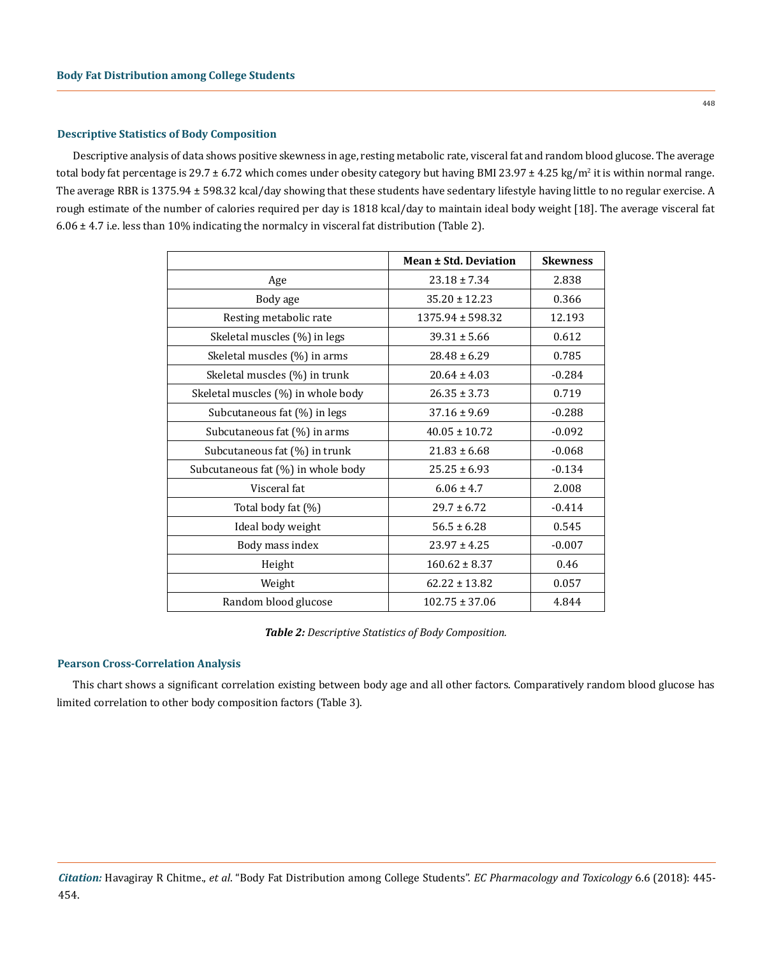#### **Descriptive Statistics of Body Composition**

Descriptive analysis of data shows positive skewness in age, resting metabolic rate, visceral fat and random blood glucose. The average total body fat percentage is 29.7  $\pm$  6.72 which comes under obesity category but having BMI 23.97  $\pm$  4.25 kg/m<sup>2</sup> it is within normal range. The average RBR is 1375.94 ± 598.32 kcal/day showing that these students have sedentary lifestyle having little to no regular exercise. A rough estimate of the number of calories required per day is 1818 kcal/day to maintain ideal body weight [18]. The average visceral fat  $6.06 \pm 4.7$  i.e. less than 10% indicating the normalcy in visceral fat distribution (Table 2).

|                                    | <b>Mean ± Std. Deviation</b> | <b>Skewness</b> |
|------------------------------------|------------------------------|-----------------|
| Age                                | $23.18 \pm 7.34$             | 2.838           |
| Body age                           | $35.20 \pm 12.23$            | 0.366           |
| Resting metabolic rate             | $1375.94 \pm 598.32$         | 12.193          |
| Skeletal muscles (%) in legs       | $39.31 \pm 5.66$             | 0.612           |
| Skeletal muscles (%) in arms       | $28.48 \pm 6.29$             | 0.785           |
| Skeletal muscles (%) in trunk      | $20.64 \pm 4.03$             | $-0.284$        |
| Skeletal muscles (%) in whole body | $26.35 \pm 3.73$             | 0.719           |
| Subcutaneous fat (%) in legs       | $37.16 \pm 9.69$             | $-0.288$        |
| Subcutaneous fat (%) in arms       | $40.05 \pm 10.72$            | $-0.092$        |
| Subcutaneous fat (%) in trunk      | $21.83 \pm 6.68$             | $-0.068$        |
| Subcutaneous fat (%) in whole body | $25.25 \pm 6.93$             | $-0.134$        |
| Visceral fat                       | $6.06 \pm 4.7$               | 2.008           |
| Total body fat (%)                 | $29.7 \pm 6.72$              | $-0.414$        |
| Ideal body weight                  | $56.5 \pm 6.28$              | 0.545           |
| Body mass index                    | $23.97 \pm 4.25$             | $-0.007$        |
| Height                             | $160.62 \pm 8.37$            | 0.46            |
| Weight                             | $62.22 \pm 13.82$            | 0.057           |
| Random blood glucose               | $102.75 \pm 37.06$           | 4.844           |

*Table 2: Descriptive Statistics of Body Composition.*

#### **Pearson Cross-Correlation Analysis**

This chart shows a significant correlation existing between body age and all other factors. Comparatively random blood glucose has limited correlation to other body composition factors (Table 3).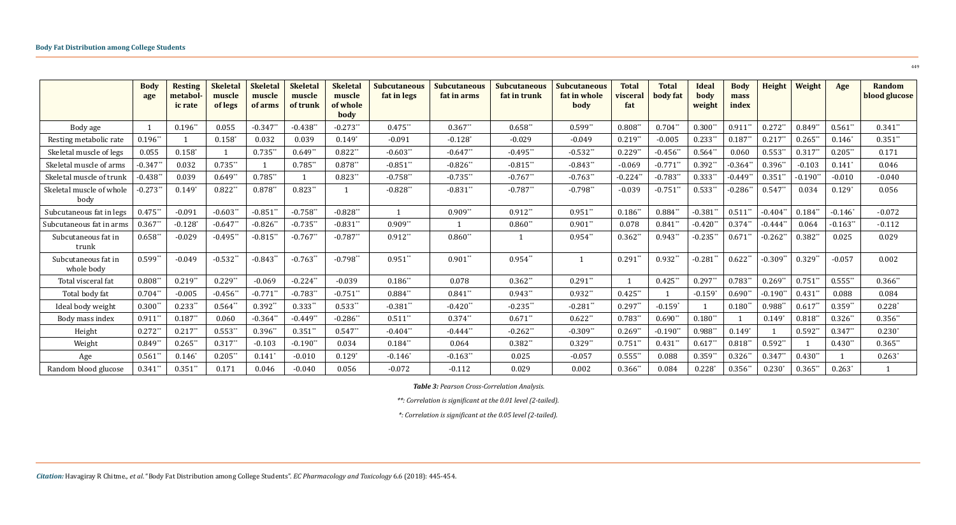|                                   | <b>Body</b><br>age | <b>Resting</b><br>metabol<br><i>ic rate</i> | <b>Skeletal</b><br>muscle<br>of legs | <b>Skeletal</b><br>muscle<br>of arms | <b>Skeletal</b><br>muscle<br>of trunk | <b>Skeletal</b><br>muscle<br>of whole<br>body | <b>Subcutaneous</b><br>fat in legs | <b>Subcutaneous</b><br>fat in arms | <b>Subcutaneous</b><br>fat in trunk | <b>Subcutaneous</b><br>fat in whole<br>body | <b>Total</b><br>visceral<br>fat | <b>Total</b><br>body fat | <b>Ideal</b><br>body<br>weight | <b>Body</b><br>mass<br>index | Height     | Weight     | Age        | Random<br>blood glucose |
|-----------------------------------|--------------------|---------------------------------------------|--------------------------------------|--------------------------------------|---------------------------------------|-----------------------------------------------|------------------------------------|------------------------------------|-------------------------------------|---------------------------------------------|---------------------------------|--------------------------|--------------------------------|------------------------------|------------|------------|------------|-------------------------|
| Body age                          |                    | $0.196**$                                   | 0.055                                | $-0.347**$                           | $-0.438**$                            | $-0.273**$                                    | $0.475**$                          | $0.367**$                          | $0.658$ **                          | $0.599**$                                   | $0.808*$                        | $0.704**$                | $0.300**$                      | $0.911**$                    | $0.272**$  | $0.849**$  | $0.561**$  | $0.341**$               |
| Resting metabolic rate            | $0.196**$          |                                             | $0.158*$                             | 0.032                                | 0.039                                 | $0.149*$                                      | $-0.091$                           | $-0.128$ <sup>*</sup>              | $-0.029$                            | $-0.049$                                    | $0.219**$                       | $-0.005$                 | $0.233**$                      | $0.187**$                    | $0.217**$  | $0.265$ ** | $0.146*$   | $0.351**$               |
| Skeletal muscle of legs           | 0.055              | $0.158*$                                    |                                      | $0.735**$                            | $0.649**$                             | $0.822**$                                     | $-0.603**$                         | $-0.647**$                         | $-0.495**$                          | $-0.532**$                                  | $0.229*$                        | $-0.456**$               | $0.564**$                      | 0.060                        | $0.553**$  | $0.317*$   | $0.205**$  | 0.171                   |
| Skeletal muscle of arms           | $-0.347$ *         | 0.032                                       | $0.735**$                            |                                      | $0.785**$                             | $0.878**$                                     | $-0.851**$                         | $-0.826**$                         | $-0.815**$                          | $-0.843**$                                  | $-0.069$                        | $-0.771$ **              | $0.392**$                      | $-0.364*$                    | $0.396**$  | $-0.103$   | $0.141*$   | 0.046                   |
| Skeletal muscle of trunk          | $-0.438*$          | 0.039                                       | $0.649*$                             | $0.785**$                            |                                       | $0.823**$                                     | $-0.758$ **                        | $-0.735$ **                        | $-0.767**$                          | $-0.763$ **                                 | $-0.224$                        | $-0.783$ **              | $0.333$ **                     | $-0.449*$                    | $0.351$ *  | $-0.190*$  | $-0.010$   | $-0.040$                |
| Skeletal muscle of whole<br>body  | $-0.273$ *         | $0.149*$                                    | $0.822**$                            | $0.878**$                            | $0.823**$                             |                                               | $-0.828**$                         | $-0.831**$                         | $-0.787**$                          | $-0.798**$                                  | $-0.039$                        | $-0.751**$               | $0.533**$                      | $-0.286**$                   | $0.547**$  | 0.034      | $0.129*$   | 0.056                   |
| Subcutaneous fat in legs          | $0.475$ **         | $-0.091$                                    | $-0.603**$                           | $-0.851**$                           | $-0.758**$                            | $-0.828**$                                    | $\overline{1}$                     | $0.909**$                          | $0.912**$                           | $0.951**$                                   | $0.186**$                       | $0.884**$                | $-0.381$ **                    | $0.511**$                    | $-0.404**$ | $0.184**$  | $-0.146*$  | $-0.072$                |
| Subcutaneous fat in arms          | $0.367*$           | $-0.128$ <sup>*</sup>                       | $-0.647$ *                           | $-0.826$ *                           | $-0.735**$                            | $-0.831**$                                    | $0.909**$                          |                                    | $0.860*$                            | $0.901**$                                   | 0.078                           | $0.841**$                | $-0.420*$                      | $0.374**$                    | $-0.444**$ | 0.064      | $-0.163**$ | $-0.112$                |
| Subcutaneous fat in<br>trunk      | $0.658$ **         | $-0.029$                                    | $-0.495**$                           | $-0.815**$                           | $-0.767**$                            | $-0.787**$                                    | $0.912**$                          | $0.860**$                          |                                     | $0.954**$                                   | $0.362*$                        | $0.943**$                | $-0.235$ **                    | $0.671**$                    | $-0.262**$ | $0.382**$  | 0.025      | 0.029                   |
| Subcutaneous fat in<br>whole body | $0.599**$          | $-0.049$                                    | $-0.532**$                           | $-0.843**$                           | $-0.763**$                            | $-0.798**$                                    | $0.951**$                          | $0.901**$                          | $0.954**$                           | 1                                           | $0.291**$                       | $0.932**$                | $-0.281**$                     | $0.622**$                    | $-0.309**$ | $0.329**$  | $-0.057$   | 0.002                   |
| Total visceral fat                | $0.808**$          | $0.219**$                                   | $0.229**$                            | $-0.069$                             | $-0.224**$                            | $-0.039$                                      | $0.186**$                          | 0.078                              | $0.362**$                           | $0.291**$                                   |                                 | $0.425**$                | $0.297**$                      | $0.783**$                    | $0.269**$  | $0.751**$  | $0.555**$  | $0.366*$                |
| Total body fat                    | $0.704**$          | $-0.005$                                    | $-0.456$ **                          | $-0.771$ **                          | $-0.783**$                            | $-0.751**$                                    | $0.884**$                          | $0.841**$                          | $0.943**$                           | $0.932**$                                   | $0.425$ *                       |                          | $-0.159$                       | $0.690**$                    | $-0.190**$ | $0.431**$  | 0.088      | 0.084                   |
| Ideal body weight                 | $0.300**$          | $0.233**$                                   | $0.564**$                            | $0.392**$                            | $0.333$ **                            | $0.533**$                                     | $-0.381**$                         | $-0.420**$                         | $-0.235**$                          | $-0.281**$                                  | $0.297**$                       | $-0.159*$                |                                | $0.180**$                    | $0.988**$  | $0.617**$  | $0.359**$  | $0.228*$                |
| Body mass index                   | $0.911**$          | $0.187**$                                   | 0.060                                | $-0.364**$                           | $-0.449**$                            | $-0.286**$                                    | $0.511**$                          | $0.374**$                          | $0.671**$                           | $0.622**$                                   | $0.783**$                       | $0.690**$                | $0.180**$                      |                              | $0.149*$   | $0.818**$  | $0.326**$  | $0.356**$               |
| Height                            | $0.272**$          | $0.217**$                                   | $0.553**$                            | $0.396**$                            | $0.351**$                             | $0.547**$                                     | $-0.404**$                         | $-0.444$ **                        | $-0.262**$                          | $-0.309**$                                  | $0.269*$                        | $-0.190$ **              | $0.988**$                      | $0.149*$                     |            | $0.592*$   | $0.347**$  | $0.230*$                |
| Weight                            | $0.849*$           | $0.265**$                                   | $0.317$ **                           | $-0.103$                             | $-0.190**$                            | 0.034                                         | $0.184**$                          | 0.064                              | $0.382**$                           | $0.329**$                                   | $0.751$ *                       | $0.431*$                 | $0.617*$                       | $0.818**$                    | $0.592**$  |            | $0.430**$  | $0.365$ *               |
| Age                               | $0.561**$          | $0.146*$                                    | $0.205**$                            | $0.141*$                             | $-0.010$                              | $0.129*$                                      | $-0.146*$                          | $-0.163**$                         | 0.025                               | $-0.057$                                    | $0.555$ *                       | 0.088                    | $0.359**$                      | $0.326**$                    | $0.347**$  | $0.430**$  |            | $0.263*$                |
| Random blood glucose              | $0.341**$          | $0.351**$                                   | 0.171                                | 0.046                                | $-0.040$                              | 0.056                                         | $-0.072$                           | $-0.112$                           | 0.029                               | 0.002                                       | $0.366**$                       | 0.084                    | $0.228*$                       | $0.356**$                    | $0.230*$   | $0.365$ ** | $0.263*$   |                         |

*Table 3: Pearson Cross-Correlation Analysis.*

*\*\*: Correlation is significant at the 0.01 level (2-tailed).*

*\*: Correlation is significant at the 0.05 level (2-tailed).*

449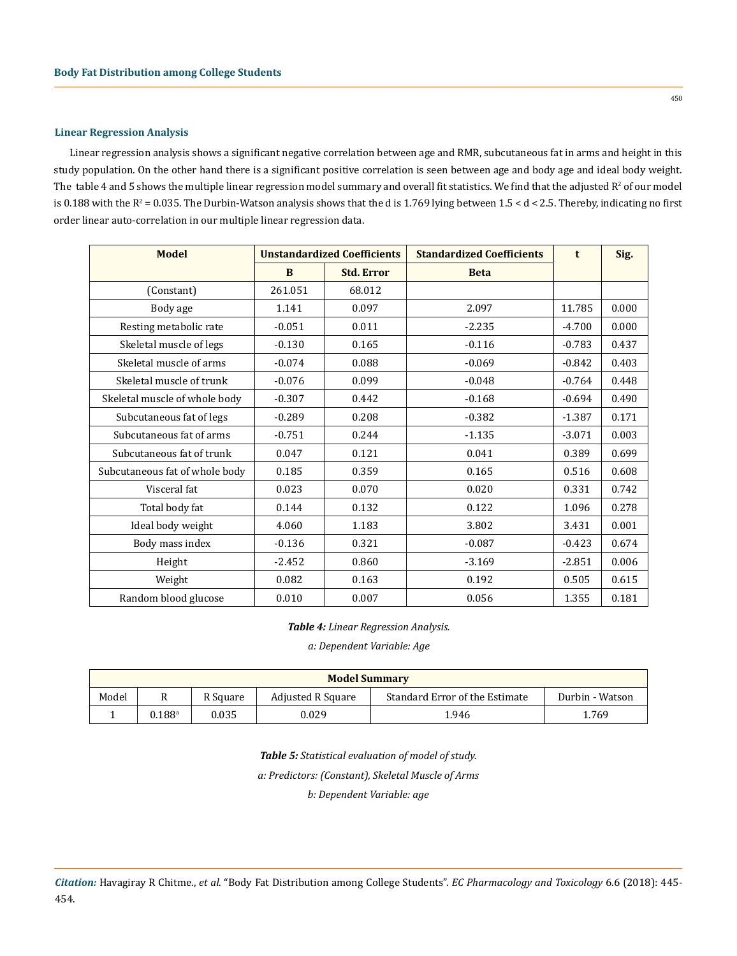#### **Linear Regression Analysis**

Linear regression analysis shows a significant negative correlation between age and RMR, subcutaneous fat in arms and height in this study population. On the other hand there is a significant positive correlation is seen between age and body age and ideal body weight. The  $t$ ahle  $4$  and  $5$  shows the multiple linear regression model summary and overall fit statistics. We find that the adjusted  $R^2$  of our model is 0.188 with the  $R^2$  = 0.035. The Durbin-Watson analysis shows that the d is 1.769 lying between 1.5 < d < 2.5. Thereby, indicating no first order linear auto-correlation in our multiple linear regression data.

| <b>Model</b>                   |          | <b>Unstandardized Coefficients</b> | <b>Standardized Coefficients</b> | t        | Sig.  |
|--------------------------------|----------|------------------------------------|----------------------------------|----------|-------|
|                                | B        | <b>Std. Error</b>                  | <b>Beta</b>                      |          |       |
| (Constant)                     | 261.051  | 68.012                             |                                  |          |       |
| Body age                       | 1.141    | 0.097                              | 2.097                            | 11.785   | 0.000 |
| Resting metabolic rate         | $-0.051$ | 0.011                              | $-2.235$                         | $-4.700$ | 0.000 |
| Skeletal muscle of legs        | $-0.130$ | 0.165                              | $-0.116$                         | $-0.783$ | 0.437 |
| Skeletal muscle of arms        | $-0.074$ | 0.088                              | $-0.069$                         | $-0.842$ | 0.403 |
| Skeletal muscle of trunk       | $-0.076$ | 0.099                              | $-0.048$                         | $-0.764$ | 0.448 |
| Skeletal muscle of whole body  | $-0.307$ | 0.442                              | $-0.168$                         | $-0.694$ | 0.490 |
| Subcutaneous fat of legs       | $-0.289$ | 0.208                              | $-0.382$                         | $-1.387$ | 0.171 |
| Subcutaneous fat of arms       | $-0.751$ | 0.244                              | $-1.135$                         | $-3.071$ | 0.003 |
| Subcutaneous fat of trunk      | 0.047    | 0.121                              | 0.041                            | 0.389    | 0.699 |
| Subcutaneous fat of whole body | 0.185    | 0.359                              | 0.165                            | 0.516    | 0.608 |
| Visceral fat                   | 0.023    | 0.070                              | 0.020                            | 0.331    | 0.742 |
| Total body fat                 | 0.144    | 0.132                              | 0.122                            | 1.096    | 0.278 |
| Ideal body weight              | 4.060    | 1.183                              | 3.802                            | 3.431    | 0.001 |
| Body mass index                | $-0.136$ | 0.321                              | $-0.087$                         | $-0.423$ | 0.674 |
| Height                         | $-2.452$ | 0.860                              | $-3.169$                         | $-2.851$ | 0.006 |
| Weight                         | 0.082    | 0.163                              | 0.192                            | 0.505    | 0.615 |
| Random blood glucose           | 0.010    | 0.007                              | 0.056                            | 1.355    | 0.181 |

*Table 4: Linear Regression Analysis.*

*a: Dependent Variable: Age*

| <b>Model Summary</b> |                      |          |                          |                                |                 |  |  |  |  |
|----------------------|----------------------|----------|--------------------------|--------------------------------|-----------------|--|--|--|--|
| Model                |                      | R Square | <b>Adjusted R Square</b> | Standard Error of the Estimate | Durbin - Watson |  |  |  |  |
|                      | $0.188$ <sup>a</sup> | 0.035    | 0.029                    | 1.946                          | 1.769           |  |  |  |  |

*Table 5: Statistical evaluation of model of study. a: Predictors: (Constant), Skeletal Muscle of Arms b: Dependent Variable: age*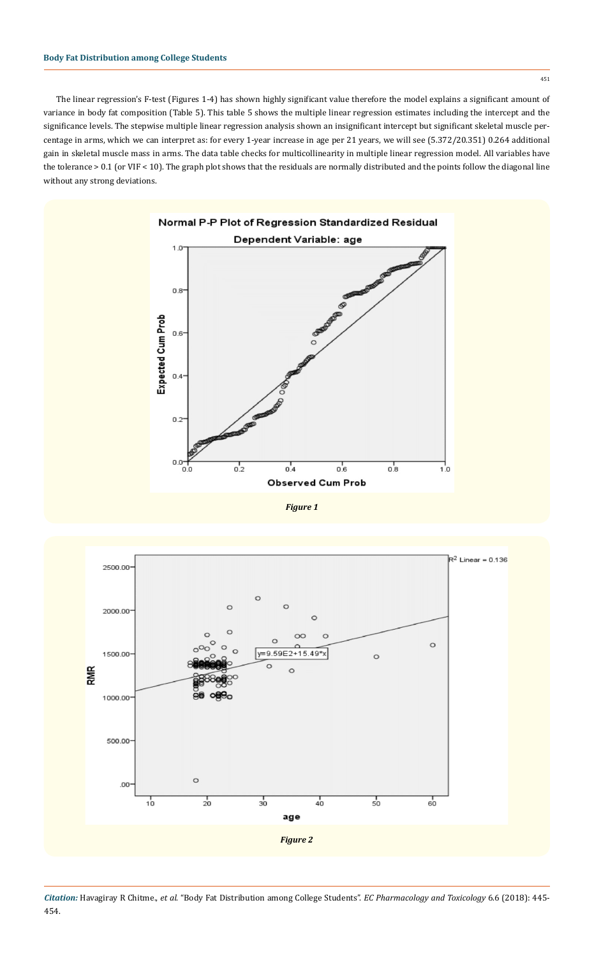451

The linear regression's F-test (Figures 1-4) has shown highly significant value therefore the model explains a significant amount of variance in body fat composition (Table 5). This table 5 shows the multiple linear regression estimates including the intercept and the significance levels. The stepwise multiple linear regression analysis shown an insignificant intercept but significant skeletal muscle percentage in arms, which we can interpret as: for every 1-year increase in age per 21 years, we will see (5.372/20.351) 0.264 additional gain in skeletal muscle mass in arms. The data table checks for multicollinearity in multiple linear regression model. All variables have the tolerance > 0.1 (or VIF < 10). The graph plot shows that the residuals are normally distributed and the points follow the diagonal line without any strong deviations.



*Figure 1*

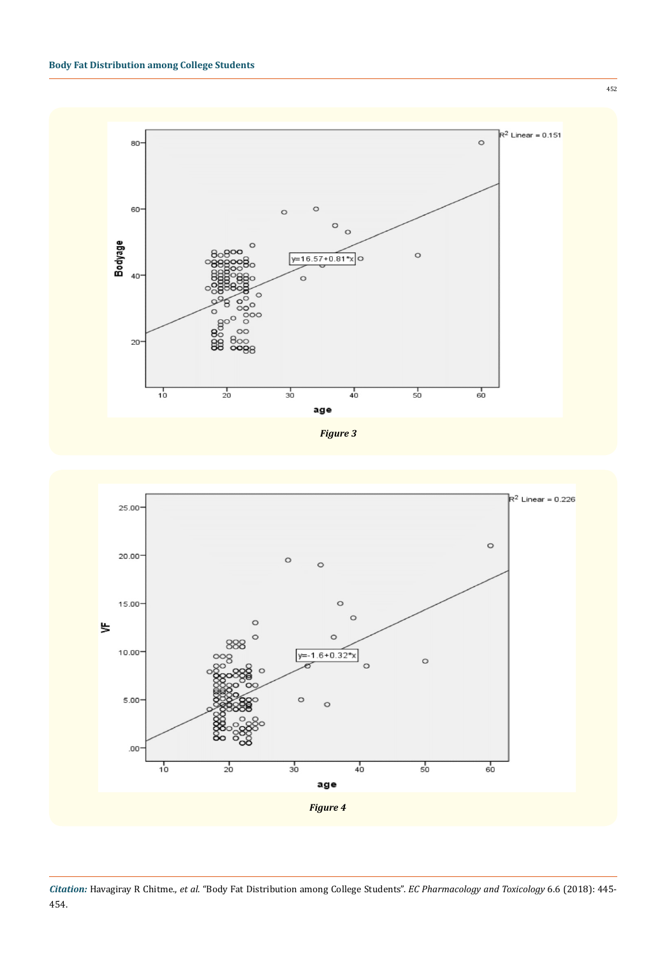



452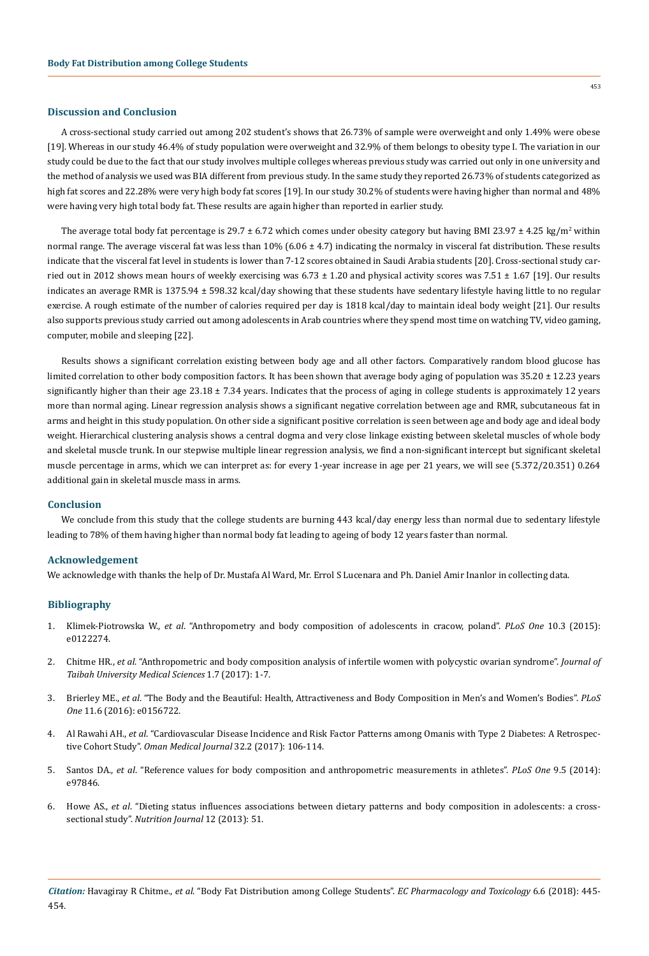## **Discussion and Conclusion**

A cross-sectional study carried out among 202 student's shows that 26.73% of sample were overweight and only 1.49% were obese [19]. Whereas in our study 46.4% of study population were overweight and 32.9% of them belongs to obesity type I. The variation in our study could be due to the fact that our study involves multiple colleges whereas previous study was carried out only in one university and the method of analysis we used was BIA different from previous study. In the same study they reported 26.73% of students categorized as high fat scores and 22.28% were very high body fat scores [19]. In our study 30.2% of students were having higher than normal and 48% were having very high total body fat. These results are again higher than reported in earlier study.

The average total body fat percentage is 29.7  $\pm$  6.72 which comes under obesity category but having BMI 23.97  $\pm$  4.25 kg/m<sup>2</sup> within normal range. The average visceral fat was less than  $10\%$  (6.06  $\pm$  4.7) indicating the normalcy in visceral fat distribution. These results indicate that the visceral fat level in students is lower than 7-12 scores obtained in Saudi Arabia students [20]. Cross-sectional study carried out in 2012 shows mean hours of weekly exercising was  $6.73 \pm 1.20$  and physical activity scores was  $7.51 \pm 1.67$  [19]. Our results indicates an average RMR is 1375.94 ± 598.32 kcal/day showing that these students have sedentary lifestyle having little to no regular exercise. A rough estimate of the number of calories required per day is 1818 kcal/day to maintain ideal body weight [21]. Our results also supports previous study carried out among adolescents in Arab countries where they spend most time on watching TV, video gaming, computer, mobile and sleeping [22].

Results shows a significant correlation existing between body age and all other factors. Comparatively random blood glucose has limited correlation to other body composition factors. It has been shown that average body aging of population was 35.20  $\pm$  12.23 years significantly higher than their age  $23.18 \pm 7.34$  years. Indicates that the process of aging in college students is approximately 12 years more than normal aging. Linear regression analysis shows a significant negative correlation between age and RMR, subcutaneous fat in arms and height in this study population. On other side a significant positive correlation is seen between age and body age and ideal body weight. Hierarchical clustering analysis shows a central dogma and very close linkage existing between skeletal muscles of whole body and skeletal muscle trunk. In our stepwise multiple linear regression analysis, we find a non-significant intercept but significant skeletal muscle percentage in arms, which we can interpret as: for every 1-year increase in age per 21 years, we will see (5.372/20.351) 0.264 additional gain in skeletal muscle mass in arms.

#### **Conclusion**

We conclude from this study that the college students are burning 443 kcal/day energy less than normal due to sedentary lifestyle leading to 78% of them having higher than normal body fat leading to ageing of body 12 years faster than normal.

#### **Acknowledgement**

We acknowledge with thanks the help of Dr. Mustafa Al Ward, Mr. Errol S Lucenara and Ph. Daniel Amir Inanlor in collecting data.

## **Bibliography**

- 1. Klimek-Piotrowska W., *et al*[. "Anthropometry and body composition of adolescents in cracow, poland".](https://www.ncbi.nlm.nih.gov/pmc/articles/PMC4376782/) *PLoS One* 10.3 (2015): [e0122274.](https://www.ncbi.nlm.nih.gov/pmc/articles/PMC4376782/)
- 2. Chitme HR., *et al*. "Anthropometric and body composition analysis of infertile women with polycystic ovarian syndrome". *Journal of Taibah University Medical Sciences* 1.7 (2017): 1-7.
- 3. Brierley ME., *et al*[. "The Body and the Beautiful: Health, Attractiveness and Body Composition in Men's and Women's Bodies".](https://www.ncbi.nlm.nih.gov/pubmed/27257677) *PLoS One* [11.6 \(2016\): e0156722.](https://www.ncbi.nlm.nih.gov/pubmed/27257677)
- 4. Al Rawahi AH., *et al*[. "Cardiovascular Disease Incidence and Risk Factor Patterns among Omanis with Type 2 Diabetes: A Retrospec](https://www.ncbi.nlm.nih.gov/pubmed/28439380)tive Cohort Study". *[Oman Medical Journal](https://www.ncbi.nlm.nih.gov/pubmed/28439380)* 32.2 (2017): 106-114.
- 5. Santos DA., *et al*[. "Reference values for body composition and anthropometric measurements in athletes".](https://www.ncbi.nlm.nih.gov/pubmed/24830292) *PLoS One* 9.5 (2014): [e97846.](https://www.ncbi.nlm.nih.gov/pubmed/24830292)
- 6. Howe AS., *et al*[. "Dieting status influences associations between dietary patterns and body composition in adolescents: a cross](https://nutritionj.biomedcentral.com/articles/10.1186/1475-2891-12-51)sectional study". *[Nutrition Journal](https://nutritionj.biomedcentral.com/articles/10.1186/1475-2891-12-51)* 12 (2013): 51.

453